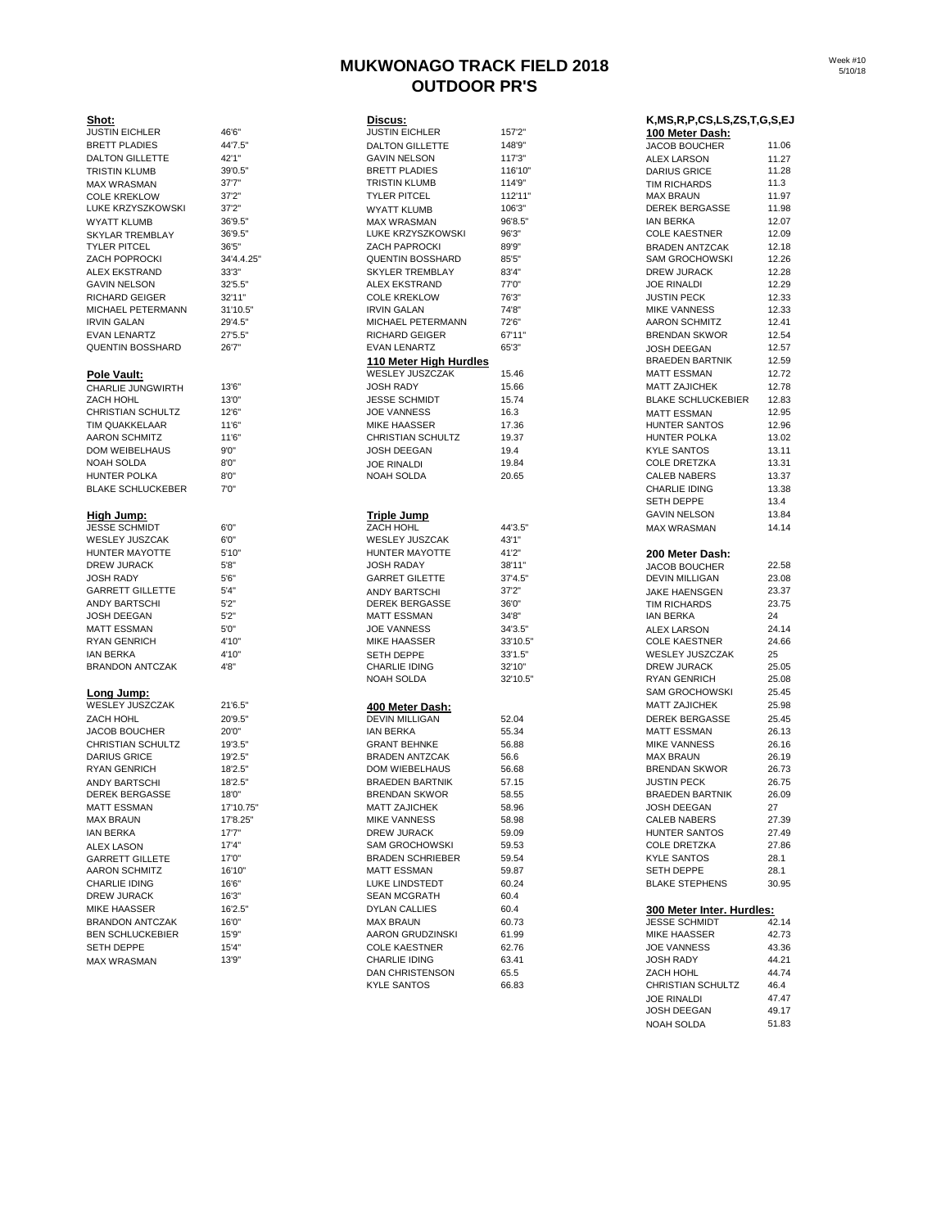# **MUKWONAGO TRACK FIELD 2018 OUTDOOR PR'S**

| Shot:<br><b>JUSTIN EICHLER</b> | 46'6"      | Discus:<br><b>JUSTIN EICHLER</b> | 157'2"   | K,MS,R,P,CS,LS,ZS,T,G,S,EJ<br>100 Meter Dash: |       |
|--------------------------------|------------|----------------------------------|----------|-----------------------------------------------|-------|
| <b>BRETT PLADIES</b>           | 44'7.5"    | <b>DALTON GILLETTE</b>           | 148'9"   | <b>JACOB BOUCHER</b>                          | 11.06 |
| <b>DALTON GILLETTE</b>         | 42'1"      | <b>GAVIN NELSON</b>              | 117'3"   | ALEX LARSON                                   | 11.27 |
| TRISTIN KLUMB                  | 39'0.5"    | <b>BRETT PLADIES</b>             | 116'10"  | <b>DARIUS GRICE</b>                           | 11.28 |
| <b>MAX WRASMAN</b>             | 37'7''     | <b>TRISTIN KLUMB</b>             | 114'9"   | <b>TIM RICHARDS</b>                           | 11.3  |
| <b>COLE KREKLOW</b>            | 37'2"      | <b>TYLER PITCEL</b>              | 112'11"  | <b>MAX BRAUN</b>                              | 11.97 |
| LUKE KRZYSZKOWSKI              | 37'2"      | <b>WYATT KLUMB</b>               | 106'3"   | <b>DEREK BERGASSE</b>                         | 11.98 |
| WYATT KLUMB                    | 36'9.5"    | <b>MAX WRASMAN</b>               | 96'8.5"  | <b>IAN BERKA</b>                              | 12.07 |
| SKYLAR TREMBLAY                | 36'9.5"    | LUKE KRZYSZKOWSKI                | 96'3''   | <b>COLE KAESTNER</b>                          | 12.09 |
| TYLER PITCEL                   | 36'5"      | <b>ZACH PAPROCKI</b>             | 89'9"    | <b>BRADEN ANTZCAK</b>                         | 12.18 |
| <b>ZACH POPROCKI</b>           | 34'4.4.25" | <b>QUENTIN BOSSHARD</b>          | 85'5''   | <b>SAM GROCHOWSKI</b>                         | 12.26 |
| ALEX EKSTRAND                  | 33'3"      | SKYLER TREMBLAY                  | 83'4"    | <b>DREW JURACK</b>                            | 12.28 |
| <b>GAVIN NELSON</b>            | 32'5.5"    | <b>ALEX EKSTRAND</b>             | 77'0"    | JOE RINALDI                                   | 12.29 |
| RICHARD GEIGER                 | 32'11"     | <b>COLE KREKLOW</b>              | 76'3"    | <b>JUSTIN PECK</b>                            | 12.33 |
| MICHAEL PETERMANN              | 31'10.5"   | <b>IRVIN GALAN</b>               | 74'8"    | <b>MIKE VANNESS</b>                           | 12.33 |
| <b>IRVIN GALAN</b>             | 29'4.5"    | MICHAEL PETERMANN                | 72'6"    | <b>AARON SCHMITZ</b>                          | 12.41 |
|                                | 27'5.5"    | <b>RICHARD GEIGER</b>            | 67'11"   | <b>BRENDAN SKWOR</b>                          | 12.54 |
| EVAN LENARTZ                   |            |                                  |          |                                               |       |
| <b>QUENTIN BOSSHARD</b>        | 26'7"      | <b>EVAN LENARTZ</b>              | 65'3"    | <b>JOSH DEEGAN</b>                            | 12.57 |
|                                |            | 110 Meter High Hurdles           |          | <b>BRAEDEN BARTNIK</b>                        | 12.59 |
| Pole Vault:                    |            | WESLEY JUSZCZAK                  | 15.46    | <b>MATT ESSMAN</b>                            | 12.72 |
| CHARLIE JUNGWIRTH              | 13'6"      | <b>JOSH RADY</b>                 | 15.66    | <b>MATT ZAJICHEK</b>                          | 12.78 |
| ZACH HOHL                      | 13'0"      | <b>JESSE SCHMIDT</b>             | 15.74    | <b>BLAKE SCHLUCKEBIER</b>                     | 12.83 |
| <b>CHRISTIAN SCHULTZ</b>       | 12'6"      | <b>JOE VANNESS</b>               | 16.3     | <b>MATT ESSMAN</b>                            | 12.95 |
| TIM QUAKKELAAR                 | 11'6"      | <b>MIKE HAASSER</b>              | 17.36    | HUNTER SANTOS                                 | 12.96 |
| <b>AARON SCHMITZ</b>           | 11'6"      | CHRISTIAN SCHULTZ                | 19.37    | <b>HUNTER POLKA</b>                           | 13.02 |
| DOM WEIBELHAUS                 | 9'0''      | <b>JOSH DEEGAN</b>               | 19.4     | <b>KYLE SANTOS</b>                            | 13.11 |
| NOAH SOLDA                     | 8'0''      | <b>JOE RINALDI</b>               | 19.84    | COLE DRETZKA                                  | 13.31 |
| HUNTER POLKA                   | 8'0''      | <b>NOAH SOLDA</b>                | 20.65    | <b>CALEB NABERS</b>                           | 13.37 |
| <b>BLAKE SCHLUCKEBER</b>       | 7'0''      |                                  |          | <b>CHARLIE IDING</b>                          | 13.38 |
|                                |            |                                  |          | <b>SETH DEPPE</b>                             | 13.4  |
| High Jump:                     |            | <b>Triple Jump</b>               |          | <b>GAVIN NELSON</b>                           | 13.84 |
| <b>JESSE SCHMIDT</b>           | 6'0"       | ZACH HOHL                        | 44'3.5"  | <b>MAX WRASMAN</b>                            | 14.14 |
| WESLEY JUSZCAK                 | 6'0"       | <b>WESLEY JUSZCAK</b>            | 43'1"    |                                               |       |
| HUNTER MAYOTTE                 | 5'10"      | HUNTER MAYOTTE                   | 41'2"    | 200 Meter Dash:                               |       |
| DREW JURACK                    | 5'8''      | <b>JOSH RADAY</b>                | 38'11"   | <b>JACOB BOUCHER</b>                          | 22.58 |
| JOSH RADY                      | 5'6''      | <b>GARRET GILETTE</b>            | 37'4.5"  | <b>DEVIN MILLIGAN</b>                         | 23.08 |
| <b>GARRETT GILLETTE</b>        | 5'4"       | <b>ANDY BARTSCHI</b>             | 37'2"    | JAKE HAENSGEN                                 | 23.37 |
| ANDY BARTSCHI                  | 5'2"       | <b>DEREK BERGASSE</b>            | 36'0"    | <b>TIM RICHARDS</b>                           | 23.75 |
| JOSH DEEGAN                    | 5'2"       | <b>MATT ESSMAN</b>               | 34'8"    | <b>IAN BERKA</b>                              | 24    |
| MATT ESSMAN                    | 5'0"       | <b>JOE VANNESS</b>               | 34'3.5"  | <b>ALEX LARSON</b>                            | 24.14 |
| <b>RYAN GENRICH</b>            | 4'10"      | <b>MIKE HAASSER</b>              | 33'10.5" | <b>COLE KAESTNER</b>                          | 24.66 |
| IAN BERKA                      | 4'10"      | <b>SETH DEPPE</b>                | 33'1.5"  | WESLEY JUSZCZAK                               | 25    |
| <b>BRANDON ANTCZAK</b>         | 4'8"       | <b>CHARLIE IDING</b>             | 32'10"   | DREW JURACK                                   | 25.05 |
|                                |            | <b>NOAH SOLDA</b>                | 32'10.5" | <b>RYAN GENRICH</b>                           | 25.08 |
|                                |            |                                  |          | <b>SAM GROCHOWSKI</b>                         | 25.45 |
| Long Jump:                     |            |                                  |          |                                               |       |
| WESLEY JUSZCZAK                | 21'6.5"    | 400 Meter Dash:                  |          | <b>MATT ZAJICHEK</b>                          | 25.98 |
| ZACH HOHL                      | 20'9.5"    | <b>DEVIN MILLIGAN</b>            | 52.04    | <b>DEREK BERGASSE</b>                         | 25.45 |
| <b>JACOB BOUCHER</b>           | 20'0"      | <b>IAN BERKA</b>                 | 55.34    | <b>MATT ESSMAN</b>                            | 26.13 |
| <b>CHRISTIAN SCHULTZ</b>       | 19'3.5"    | <b>GRANT BEHNKE</b>              | 56.88    | <b>MIKE VANNESS</b>                           | 26.16 |
| <b>DARIUS GRICE</b>            | 19'2.5"    | <b>BRADEN ANTZCAK</b>            | 56.6     | MAX BRAUN                                     | 26.19 |
| <b>RYAN GENRICH</b>            | 18'2.5"    | DOM WIEBELHAUS                   | 56.68    | <b>BRENDAN SKWOR</b>                          | 26.73 |
| ANDY BARTSCHI                  | 18'2.5"    | <b>BRAEDEN BARTNIK</b>           | 57.15    | <b>JUSTIN PECK</b>                            | 26.75 |
| <b>DEREK BERGASSE</b>          | 18'0"      | <b>BRENDAN SKWOR</b>             | 58.55    | <b>BRAEDEN BARTNIK</b>                        | 26.09 |
| MATT ESSMAN                    | 17'10.75"  | <b>MATT ZAJICHEK</b>             | 58.96    | JOSH DEEGAN                                   | 27    |
| MAX BRAUN                      | 17'8.25"   | <b>MIKE VANNESS</b>              | 58.98    | CALEB NABERS                                  | 27.39 |
| IAN BERKA                      | 17'7''     | DREW JURACK                      | 59.09    | HUNTER SANTOS                                 | 27.49 |
| ALEX LASON                     | 17'4"      | <b>SAM GROCHOWSKI</b>            | 59.53    | <b>COLE DRETZKA</b>                           | 27.86 |
| <b>GARRETT GILLETE</b>         | 17'0"      | <b>BRADEN SCHRIEBER</b>          | 59.54    | <b>KYLE SANTOS</b>                            | 28.1  |
| AARON SCHMITZ                  | 16'10"     | <b>MATT ESSMAN</b>               | 59.87    | SETH DEPPE                                    | 28.1  |
| CHARLIE IDING                  | 16'6"      | LUKE LINDSTEDT                   | 60.24    | <b>BLAKE STEPHENS</b>                         | 30.95 |
| DREW JURACK                    | 16'3"      | <b>SEAN MCGRATH</b>              | 60.4     |                                               |       |
| MIKE HAASSER                   | 16'2.5"    | DYLAN CALLIES                    | 60.4     | 300 Meter Inter. Hurdles:                     |       |
| <b>BRANDON ANTCZAK</b>         | 16'0"      | <b>MAX BRAUN</b>                 | 60.73    | <b>JESSE SCHMIDT</b>                          | 42.14 |
| <b>BEN SCHLUCKEBIER</b>        | 15'9"      | AARON GRUDZINSKI                 | 61.99    | MIKE HAASSER                                  | 42.73 |
|                                |            |                                  |          |                                               |       |

| onot:<br><b>JUSTIN EICHLER</b>       | 46'6"      | <b>DISCUS:</b><br><b>JUSTIN EICHLER</b>       | 157'2" |
|--------------------------------------|------------|-----------------------------------------------|--------|
| <b>BRETT PLADIES</b>                 | 44'7.5"    |                                               | 148'9" |
| <b>DALTON GILLETTE</b>               | 42'1"      | <b>DALTON GILLETTE</b><br><b>GAVIN NELSON</b> | 117'3" |
|                                      | 39'0.5"    | <b>BRETT PLADIES</b>                          | 116'10 |
| TRISTIN KLUMB                        | 37'7"      | <b>TRISTIN KLUMB</b>                          | 114'9" |
| <b>MAX WRASMAN</b>                   |            |                                               |        |
| <b>COLE KREKLOW</b>                  | 37'2"      | <b>TYLER PITCEL</b>                           | 112'11 |
| LUKE KRZYSZKOWSKI                    | 37'2"      | <b>WYATT KLUMB</b>                            | 106'3" |
| <b>WYATT KLUMB</b>                   | 36'9.5"    | <b>MAX WRASMAN</b>                            | 96'8.5 |
| <b>SKYLAR TREMBLAY</b>               | 36'9.5"    | LUKE KRZYSZKOWSKI                             | 96'3"  |
| <b>TYLER PITCEL</b>                  | 36'5"      | <b>ZACH PAPROCKI</b>                          | 89'9"  |
| <b>ZACH POPROCKI</b>                 | 34'4.4.25" | <b>QUENTIN BOSSHARD</b>                       | 85'5"  |
| <b>ALEX EKSTRAND</b>                 | 33'3"      | <b>SKYLER TREMBLAY</b>                        | 83'4"  |
| <b>GAVIN NELSON</b>                  | 32'5.5"    | <b>ALEX EKSTRAND</b>                          | 77'0"  |
| <b>RICHARD GEIGER</b>                | 32'11"     | <b>COLE KREKLOW</b>                           | 76'3"  |
| <b>MICHAEL PETERMANN</b>             | 31'10.5"   | <b>IRVIN GALAN</b>                            | 74'8"  |
| <b>IRVIN GALAN</b>                   | 29'4.5"    | MICHAEL PETERMANN                             | 72'6"  |
| <b>EVAN LENARTZ</b>                  | 27'5.5"    | <b>RICHARD GEIGER</b>                         | 67'11" |
| <b>QUENTIN BOSSHARD</b>              | 26'7"      | <b>EVAN LENARTZ</b>                           | 65'3"  |
|                                      |            | 110 Meter High Hurdles                        |        |
| Pole Vault:                          |            | WESLEY JUSZCZAK                               | 15.46  |
| CHARLIE JUNGWIRTH                    | 13'6"      | <b>JOSH RADY</b>                              | 15.66  |
| ZACH HOHL                            | 13'0"      | <b>JESSE SCHMIDT</b>                          | 15.74  |
| <b>CHRISTIAN SCHULTZ</b>             | 12'6"      | <b>JOE VANNESS</b>                            | 16.3   |
| TIM QUAKKELAAR                       | 11'6"      | <b>MIKE HAASSER</b>                           | 17.36  |
| <b>AARON SCHMITZ</b>                 | 11'6"      | <b>CHRISTIAN SCHULTZ</b>                      | 19.37  |
| <b>DOM WEIBELHAUS</b>                | 9'0''      | JOSH DEEGAN                                   | 19.4   |
| NOAH SOLDA                           | 8'0"       | <b>JOE RINALDI</b>                            | 19.84  |
| <b>HUNTER POLKA</b>                  | 8'0''      | NOAH SOLDA                                    | 20.65  |
| <b>BLAKE SCHLUCKEBER</b>             | 7'0''      |                                               |        |
|                                      |            |                                               |        |
| High Jump:                           |            | Triple Jump                                   |        |
| <b>JESSE SCHMIDT</b>                 | 6'0"       | ZACH HOHL                                     | 44'3.5 |
| <b>WESLEY JUSZCAK</b>                | 6'0''      | <b>WESLEY JUSZCAK</b>                         | 43'1"  |
| HUNTER MAYOTTE                       | 5'10"      | HUNTER MAYOTTE                                | 41'2"  |
| <b>DREW JURACK</b>                   | 5'8''      | JOSH RADAY                                    | 38'11" |
| <b>JOSH RADY</b>                     | 5'6''      | <b>GARRET GILETTE</b>                         | 37'4.5 |
| <b>GARRETT GILLETTE</b>              | 5'4"       | <b>ANDY BARTSCHI</b>                          | 37'2"  |
| <b>ANDY BARTSCHI</b>                 | 5'2"       | <b>DEREK BERGASSE</b>                         | 36'0"  |
| <b>JOSH DEEGAN</b>                   | 5'2"       | <b>MATT ESSMAN</b>                            | 34'8"  |
| <b>MATT ESSMAN</b>                   | 5'0''      | <b>JOE VANNESS</b>                            | 34'3.5 |
| <b>RYAN GENRICH</b>                  | 4'10"      | <b>MIKE HAASSER</b>                           | 33'10. |
|                                      |            |                                               |        |
| <b>IAN BERKA</b>                     | 4'10"      | <b>SETH DEPPE</b>                             | 33'1.5 |
| <b>BRANDON ANTCZAK</b>               | 4'8"       | <b>CHARLIE IDING</b>                          | 32'10" |
|                                      |            | <b>NOAH SOLDA</b>                             | 32'10. |
| Long Jump:<br><b>WESLEY JUSZCZAK</b> | 21'6.5"    |                                               |        |
|                                      |            | 400 Meter Dash:                               |        |
| ZACH HOHL                            | 20'9.5"    | <b>DEVIN MILLIGAN</b>                         | 52.04  |
| <b>JACOB BOUCHER</b>                 | 20'0"      | <b>IAN BERKA</b>                              | 55.34  |
| <b>CHRISTIAN SCHULTZ</b>             | 19'3.5"    | <b>GRANT BEHNKE</b>                           | 56.88  |
| <b>DARIUS GRICE</b>                  | 19'2.5"    | <b>BRADEN ANTZCAK</b>                         | 56.6   |
| <b>RYAN GENRICH</b>                  | 18'2.5"    | <b>DOM WIEBELHAUS</b>                         | 56.68  |
| <b>ANDY BARTSCHI</b>                 | 18'2.5"    | <b>BRAEDEN BARTNIK</b>                        | 57.15  |
| <b>DEREK BERGASSE</b>                | 18'0"      | <b>BRENDAN SKWOR</b>                          | 58.55  |
| <b>MATT ESSMAN</b>                   | 17'10.75"  | <b>MATT ZAJICHEK</b>                          | 58.96  |
| <b>MAX BRAUN</b>                     | 17'8.25"   | <b>MIKE VANNESS</b>                           | 58.98  |
| <b>IAN BERKA</b>                     | 17'7''     | <b>DREW JURACK</b>                            | 59.09  |
| <b>ALEX LASON</b>                    | 17'4"      | <b>SAM GROCHOWSKI</b>                         | 59.53  |
| <b>GARRETT GILLETE</b>               | 17'0"      | <b>BRADEN SCHRIEBER</b>                       | 59.54  |
| <b>AARON SCHMITZ</b>                 | 16'10"     | <b>MATT ESSMAN</b>                            | 59.87  |
| <b>CHARLIE IDING</b>                 | 16'6"      | LUKE LINDSTEDT                                | 60.24  |
| DREW JURACK                          | 16'3"      | <b>SEAN MCGRATH</b>                           | 60.4   |
| <b>MIKE HAASSER</b>                  | 16'2.5"    | <b>DYLAN CALLIES</b>                          | 60.4   |
| <b>BRANDON ANTCZAK</b>               | 16'0"      | <b>MAX BRAUN</b>                              | 60.73  |
| <b>BEN SCHLUCKEBIER</b>              | 15'9"      | AARON GRUDZINSKI                              | 61.99  |
| <b>SETH DEPPE</b>                    | 15'4"      | <b>COLE KAESTNER</b>                          | 62.76  |
| <b>MAX WRASMAN</b>                   | 13'9"      | <b>CHARLIE IDING</b>                          | 63.41  |
|                                      |            | <b>DAN CHRISTENSON</b>                        | 65.5   |
|                                      |            | <b>KYLE SANTOS</b>                            | 66.83  |
|                                      |            |                                               |        |

| Shot:                   |            | Discus:                 |          |                                                         |       |
|-------------------------|------------|-------------------------|----------|---------------------------------------------------------|-------|
| <b>JUSTIN EICHLER</b>   | 46'6"      | <b>JUSTIN EICHLER</b>   | 157'2"   | K, MS, R, P, CS, LS, ZS, T, G, S, EJ<br>100 Meter Dash: |       |
| BRETT PLADIES           | 44'7.5"    | <b>DALTON GILLETTE</b>  | 148'9"   | <b>JACOB BOUCHER</b>                                    | 11.06 |
| DALTON GILLETTE         | 42'1"      | <b>GAVIN NELSON</b>     | 117'3"   | <b>ALEX LARSON</b>                                      | 11.27 |
| TRISTIN KLUMB           | 39'0.5"    | <b>BRETT PLADIES</b>    | 116'10"  | <b>DARIUS GRICE</b>                                     | 11.28 |
| MAX WRASMAN             | 37'7"      | <b>TRISTIN KLUMB</b>    | 114'9"   | <b>TIM RICHARDS</b>                                     | 11.3  |
| COLE KREKLOW            | 37'2"      | <b>TYLER PITCEL</b>     | 112'11"  | <b>MAX BRAUN</b>                                        | 11.97 |
|                         | 37'2"      |                         | 106'3"   | <b>DEREK BERGASSE</b>                                   | 11.98 |
| LUKE KRZYSZKOWSKI       | 36'9.5"    | <b>WYATT KLUMB</b>      | 96'8.5"  | <b>IAN BERKA</b>                                        | 12.07 |
| WYATT KLUMB             |            | <b>MAX WRASMAN</b>      |          |                                                         |       |
| SKYLAR TREMBLAY         | 36'9.5"    | LUKE KRZYSZKOWSKI       | 96'3"    | <b>COLE KAESTNER</b>                                    | 12.09 |
| TYLER PITCEL            | 36'5"      | <b>ZACH PAPROCKI</b>    | 89'9"    | <b>BRADEN ANTZCAK</b>                                   | 12.18 |
| ZACH POPROCKI           | 34'4.4.25" | <b>QUENTIN BOSSHARD</b> | 85'5"    | <b>SAM GROCHOWSKI</b>                                   | 12.26 |
| ALEX EKSTRAND           | 33'3"      | <b>SKYLER TREMBLAY</b>  | 83'4"    | <b>DREW JURACK</b>                                      | 12.28 |
| GAVIN NELSON            | 32'5.5"    | <b>ALEX EKSTRAND</b>    | 77'0"    | <b>JOE RINALDI</b>                                      | 12.29 |
| RICHARD GEIGER          | 32'11"     | <b>COLE KREKLOW</b>     | 76'3"    | <b>JUSTIN PECK</b>                                      | 12.33 |
| MICHAEL PETERMANN       | 31'10.5"   | <b>IRVIN GALAN</b>      | 74'8"    | <b>MIKE VANNESS</b>                                     | 12.33 |
| IRVIN GALAN             | 29'4.5"    | MICHAEL PETERMANN       | 72'6"    | <b>AARON SCHMITZ</b>                                    | 12.41 |
| EVAN LENARTZ            | 27'5.5"    | <b>RICHARD GEIGER</b>   | 67'11"   | <b>BRENDAN SKWOR</b>                                    | 12.54 |
| QUENTIN BOSSHARD        | 26'7"      | <b>EVAN LENARTZ</b>     | 65'3"    | <b>JOSH DEEGAN</b>                                      | 12.57 |
|                         |            | 110 Meter High Hurdles  |          | <b>BRAEDEN BARTNIK</b>                                  | 12.59 |
|                         |            | WESLEY JUSZCZAK         | 15.46    | <b>MATT ESSMAN</b>                                      | 12.72 |
| Pole Vault:             | 13'6"      | <b>JOSH RADY</b>        | 15.66    | <b>MATT ZAJICHEK</b>                                    | 12.78 |
| CHARLIE JUNGWIRTH       |            |                         |          |                                                         |       |
| ZACH HOHL               | 13'0"      | <b>JESSE SCHMIDT</b>    | 15.74    | <b>BLAKE SCHLUCKEBIER</b>                               | 12.83 |
| CHRISTIAN SCHULTZ       | 12'6"      | <b>JOE VANNESS</b>      | 16.3     | <b>MATT ESSMAN</b>                                      | 12.95 |
| TIM QUAKKELAAR          | 11'6"      | <b>MIKE HAASSER</b>     | 17.36    | HUNTER SANTOS                                           | 12.96 |
| AARON SCHMITZ           | 11'6"      | CHRISTIAN SCHULTZ       | 19.37    | HUNTER POLKA                                            | 13.02 |
| DOM WEIBELHAUS          | 9'0''      | JOSH DEEGAN             | 19.4     | <b>KYLE SANTOS</b>                                      | 13.11 |
| NOAH SOLDA              | 8'0''      | <b>JOE RINALDI</b>      | 19.84    | <b>COLE DRETZKA</b>                                     | 13.31 |
| HUNTER POLKA            | 8'0''      | <b>NOAH SOLDA</b>       | 20.65    | <b>CALEB NABERS</b>                                     | 13.37 |
| BLAKE SCHLUCKEBER       | 7'0''      |                         |          | <b>CHARLIE IDING</b>                                    | 13.38 |
|                         |            |                         |          | SETH DEPPE                                              | 13.4  |
| High Jump:              |            | Triple Jump             |          | <b>GAVIN NELSON</b>                                     | 13.84 |
| <b>JESSE SCHMIDT</b>    | 6'0"       | ZACH HOHL               | 44'3.5"  |                                                         | 14.14 |
|                         |            |                         |          | <b>MAX WRASMAN</b>                                      |       |
| WESLEY JUSZCAK          | 6'0"       | <b>WESLEY JUSZCAK</b>   | 43'1"    |                                                         |       |
| HUNTER MAYOTTE          | 5'10"      | HUNTER MAYOTTE          | 41'2"    | 200 Meter Dash:                                         |       |
| DREW JURACK             | 5'8''      | <b>JOSH RADAY</b>       | 38'11"   | <b>JACOB BOUCHER</b>                                    | 22.58 |
| JOSH RADY               | 5'6''      | <b>GARRET GILETTE</b>   | 37'4.5"  | <b>DEVIN MILLIGAN</b>                                   | 23.08 |
| GARRETT GILLETTE        | 5'4"       | ANDY BARTSCHI           | 37'2"    | JAKE HAENSGEN                                           | 23.37 |
| ANDY BARTSCHI           | 5'2"       | <b>DEREK BERGASSE</b>   | 36'0"    | <b>TIM RICHARDS</b>                                     | 23.75 |
| JOSH DEEGAN             | 5'2''      | <b>MATT ESSMAN</b>      | 34'8"    | <b>IAN BERKA</b>                                        | 24    |
| MATT ESSMAN             | 5'0"       | <b>JOE VANNESS</b>      | 34'3.5"  | <b>ALEX LARSON</b>                                      | 24.14 |
| RYAN GENRICH            | 4'10"      | MIKE HAASSER            | 33'10.5" | <b>COLE KAESTNER</b>                                    | 24.66 |
| IAN BERKA               | 4'10"      | SETH DEPPE              | 33'1.5"  | WESLEY JUSZCZAK                                         | 25    |
| BRANDON ANTCZAK         | 4'8"       | CHARLIE IDING           | 32'10"   | <b>DREW JURACK</b>                                      | 25.05 |
|                         |            |                         |          |                                                         |       |
|                         |            | NOAH SOLDA              | 32'10.5" | <b>RYAN GENRICH</b>                                     | 25.08 |
| Long Jump:              |            |                         |          | <b>SAM GROCHOWSKI</b>                                   | 25.45 |
| WESLEY JUSZCZAK         | 21'6.5"    | 400 Meter Dash:         |          | <b>MATT ZAJICHEK</b>                                    | 25.98 |
| ZACH HOHL               | 20'9.5"    | <b>DEVIN MILLIGAN</b>   | 52.04    | <b>DEREK BERGASSE</b>                                   | 25.45 |
| JACOB BOUCHER           | 20'0"      | <b>IAN BERKA</b>        | 55.34    | <b>MATT ESSMAN</b>                                      | 26.13 |
| CHRISTIAN SCHULTZ       | 19'3.5"    | <b>GRANT BEHNKE</b>     | 56.88    | <b>MIKE VANNESS</b>                                     | 26.16 |
| DARIUS GRICE            | 19'2.5"    | <b>BRADEN ANTZCAK</b>   | 56.6     | <b>MAX BRAUN</b>                                        | 26.19 |
| RYAN GENRICH            | 18'2.5"    | DOM WIEBELHAUS          | 56.68    | <b>BRENDAN SKWOR</b>                                    | 26.73 |
| ANDY BARTSCHI           | 18'2.5"    | <b>BRAEDEN BARTNIK</b>  | 57.15    | <b>JUSTIN PECK</b>                                      | 26.75 |
| DEREK BERGASSE          | 18'0"      | <b>BRENDAN SKWOR</b>    | 58.55    | <b>BRAEDEN BARTNIK</b>                                  | 26.09 |
| MATT ESSMAN             | 17'10.75'  | <b>MATT ZAJICHEK</b>    | 58.96    | JOSH DEEGAN                                             | 27    |
|                         |            |                         |          |                                                         |       |
| MAX BRAUN               | 17'8.25"   | <b>MIKE VANNESS</b>     | 58.98    | <b>CALEB NABERS</b>                                     | 27.39 |
| IAN BERKA               | 17'7''     | DREW JURACK             | 59.09    | HUNTER SANTOS                                           | 27.49 |
| <b>ALEX LASON</b>       | 17'4"      | <b>SAM GROCHOWSKI</b>   | 59.53    | <b>COLE DRETZKA</b>                                     | 27.86 |
| GARRETT GILLETE         | 17'0"      | <b>BRADEN SCHRIEBER</b> | 59.54    | <b>KYLE SANTOS</b>                                      | 28.1  |
| AARON SCHMITZ           | 16'10"     | <b>MATT ESSMAN</b>      | 59.87    | SETH DEPPE                                              | 28.1  |
| CHARLIE IDING           | 16'6"      | LUKE LINDSTEDT          | 60.24    | <b>BLAKE STEPHENS</b>                                   | 30.95 |
| DREW JURACK             | 16'3"      | <b>SEAN MCGRATH</b>     | 60.4     |                                                         |       |
| MIKE HAASSER            | 16'2.5"    | <b>DYLAN CALLIES</b>    | 60.4     | 300 Meter Inter. Hurdles:                               |       |
| BRANDON ANTCZAK         | 16'0"      | <b>MAX BRAUN</b>        | 60.73    | <b>JESSE SCHMIDT</b>                                    | 42.14 |
| <b>BEN SCHLUCKEBIER</b> | 15'9"      | AARON GRUDZINSKI        | 61.99    | <b>MIKE HAASSER</b>                                     | 42.73 |
| SETH DEPPE              |            |                         |          |                                                         |       |
|                         | 15'4"      | <b>COLE KAESTNER</b>    | 62.76    | <b>JOE VANNESS</b>                                      | 43.36 |
| MAX WRASMAN             | 13'9"      | <b>CHARLIE IDING</b>    | 63.41    | <b>JOSH RADY</b>                                        | 44.21 |
|                         |            | DAN CHRISTENSON         | 65.5     | ZACH HOHL                                               | 44.74 |
|                         |            | <b>KYLE SANTOS</b>      | 66.83    | CHRISTIAN SCHULTZ                                       | 46.4  |
|                         |            |                         |          | <b>JOE RINALDI</b>                                      | 47.47 |
|                         |            |                         |          | JOSH DEEGAN                                             | 49.17 |
|                         |            |                         |          | <b>NOAH SOLDA</b>                                       | 51.83 |

NOAH SOLDA